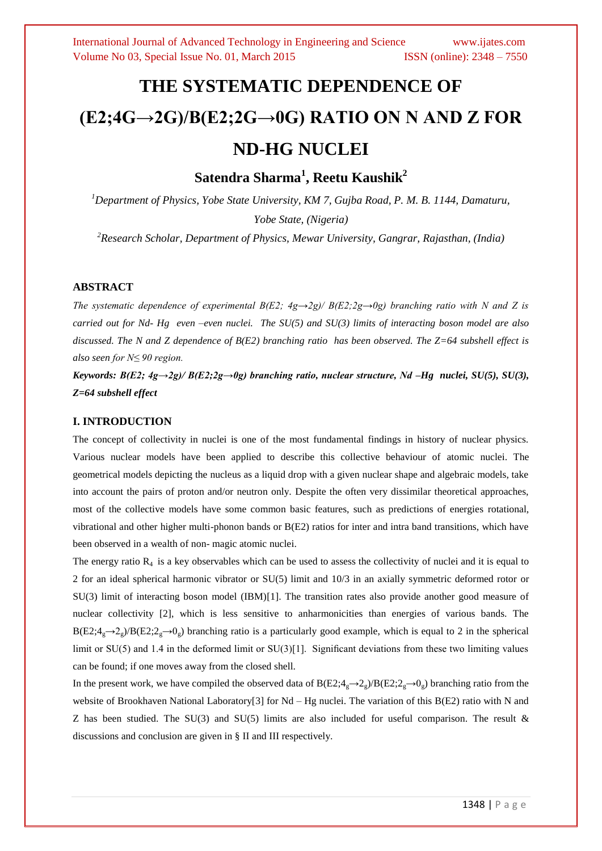# **THE SYSTEMATIC DEPENDENCE OF (E2;4G→2G)/B(E2;2G→0G) RATIO ON N AND Z FOR ND-HG NUCLEI**

**Satendra Sharma<sup>1</sup> , Reetu Kaushik<sup>2</sup>**

*<sup>1</sup>Department of Physics, Yobe State University, KM 7, Gujba Road, P. M. B. 1144, Damaturu, Yobe State, (Nigeria)*

*<sup>2</sup>Research Scholar, Department of Physics, Mewar University, Gangrar, Rajasthan, (India)*

#### **ABSTRACT**

*The systematic dependence of experimental B(E2; 4g* $\rightarrow$ *2g)/ B(E2;2g* $\rightarrow$ *0g) branching ratio with N and Z is carried out for Nd- Hg even –even nuclei. The SU(5) and SU(3) limits of interacting boson model are also discussed. The N and Z dependence of B(E2) branching ratio has been observed. The Z=64 subshell effect is also seen for N≤ 90 region.* 

*Keywords: B(E2; 4g→2g)/ B(E2;2g→0g) branching ratio, nuclear structure, Nd –Hg nuclei, SU(5), SU(3), Z=64 subshell effect*

## **I. INTRODUCTION**

The concept of collectivity in nuclei is one of the most fundamental findings in history of nuclear physics. Various nuclear models have been applied to describe this collective behaviour of atomic nuclei. The geometrical models depicting the nucleus as a liquid drop with a given nuclear shape and algebraic models, take into account the pairs of proton and/or neutron only. Despite the often very dissimilar theoretical approaches, most of the collective models have some common basic features, such as predictions of energies rotational, vibrational and other higher multi-phonon bands or B(E2) ratios for inter and intra band transitions, which have been observed in a wealth of non- magic atomic nuclei.

The energy ratio  $R<sub>4</sub>$  is a key observables which can be used to assess the collectivity of nuclei and it is equal to 2 for an ideal spherical harmonic vibrator or SU(5) limit and 10/3 in an axially symmetric deformed rotor or SU(3) limit of interacting boson model (IBM)[1]. The transition rates also provide another good measure of nuclear collectivity [2], which is less sensitive to anharmonicities than energies of various bands. The  $B(E2; 4_g \rightarrow 2_g)/B(E2; 2_g \rightarrow 0_g)$  branching ratio is a particularly good example, which is equal to 2 in the spherical limit or SU(5) and 1.4 in the deformed limit or SU(3)[1]. Significant deviations from these two limiting values can be found; if one moves away from the closed shell.

In the present work, we have compiled the observed data of  $B(E2;4g\rightarrow 2g)/B(E2;2g\rightarrow 0g)$  branching ratio from the website of Brookhaven National Laboratory[3] for Nd – Hg nuclei. The variation of this B(E2) ratio with N and Z has been studied. The SU(3) and SU(5) limits are also included for useful comparison. The result  $\&$ discussions and conclusion are given in § II and III respectively.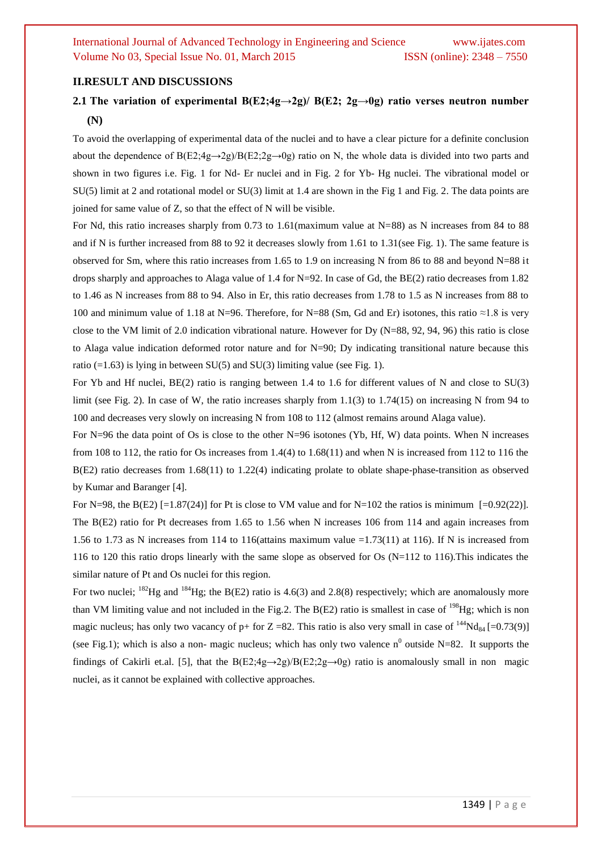#### **II.RESULT AND DISCUSSIONS**

## **2.1** The variation of experimental  $B(E2; 4g \rightarrow 2g)$   $B(E2; 2g \rightarrow 0g)$  ratio verses neutron number **(N)**

To avoid the overlapping of experimental data of the nuclei and to have a clear picture for a definite conclusion about the dependence of B(E2;4g→2g)/B(E2;2g→0g) ratio on N, the whole data is divided into two parts and shown in two figures i.e. Fig. 1 for Nd- Er nuclei and in Fig. 2 for Yb- Hg nuclei. The vibrational model or SU(5) limit at 2 and rotational model or SU(3) limit at 1.4 are shown in the Fig 1 and Fig. 2. The data points are joined for same value of Z, so that the effect of N will be visible.

For Nd, this ratio increases sharply from 0.73 to 1.61(maximum value at N=88) as N increases from 84 to 88 and if N is further increased from 88 to 92 it decreases slowly from 1.61 to 1.31(see Fig. 1). The same feature is observed for Sm, where this ratio increases from 1.65 to 1.9 on increasing N from 86 to 88 and beyond N=88 it drops sharply and approaches to Alaga value of 1.4 for N=92. In case of Gd, the BE(2) ratio decreases from 1.82 to 1.46 as N increases from 88 to 94. Also in Er, this ratio decreases from 1.78 to 1.5 as N increases from 88 to 100 and minimum value of 1.18 at N=96. Therefore, for N=88 (Sm, Gd and Er) isotones, this ratio ≈1.8 is very close to the VM limit of 2.0 indication vibrational nature. However for Dy (N=88, 92, 94, 96) this ratio is close to Alaga value indication deformed rotor nature and for N=90; Dy indicating transitional nature because this ratio  $(=1.63)$  is lying in between SU(5) and SU(3) limiting value (see Fig. 1).

For Yb and Hf nuclei, BE(2) ratio is ranging between 1.4 to 1.6 for different values of N and close to SU(3) limit (see Fig. 2). In case of W, the ratio increases sharply from 1.1(3) to 1.74(15) on increasing N from 94 to 100 and decreases very slowly on increasing N from 108 to 112 (almost remains around Alaga value).

For N=96 the data point of Os is close to the other N=96 isotones (Yb, Hf, W) data points. When N increases from 108 to 112, the ratio for Os increases from 1.4(4) to 1.68(11) and when N is increased from 112 to 116 the B(E2) ratio decreases from 1.68(11) to 1.22(4) indicating prolate to oblate shape-phase-transition as observed by Kumar and Baranger [4].

For N=98, the B(E2) [=1.87(24)] for Pt is close to VM value and for N=102 the ratios is minimum [=0.92(22)]. The B(E2) ratio for Pt decreases from 1.65 to 1.56 when N increases 106 from 114 and again increases from 1.56 to 1.73 as N increases from 114 to 116(attains maximum value  $=1.73(11)$  at 116). If N is increased from 116 to 120 this ratio drops linearly with the same slope as observed for Os (N=112 to 116).This indicates the similar nature of Pt and Os nuclei for this region.

For two nuclei;  $^{182}$ Hg and  $^{184}$ Hg; the B(E2) ratio is 4.6(3) and 2.8(8) respectively; which are anomalously more than VM limiting value and not included in the Fig.2. The  $B(E2)$  ratio is smallest in case of <sup>198</sup>Hg; which is non magic nucleus; has only two vacancy of p+ for  $Z = 82$ . This ratio is also very small in case of <sup>144</sup>Nd<sub>84</sub> [=0.73(9)] (see Fig.1); which is also a non- magic nucleus; which has only two valence  $n^0$  outside N=82. It supports the findings of Cakirli et.al. [5], that the B(E2;4g $\rightarrow$ 2g)/B(E2;2g $\rightarrow$ 0g) ratio is anomalously small in non magic nuclei, as it cannot be explained with collective approaches.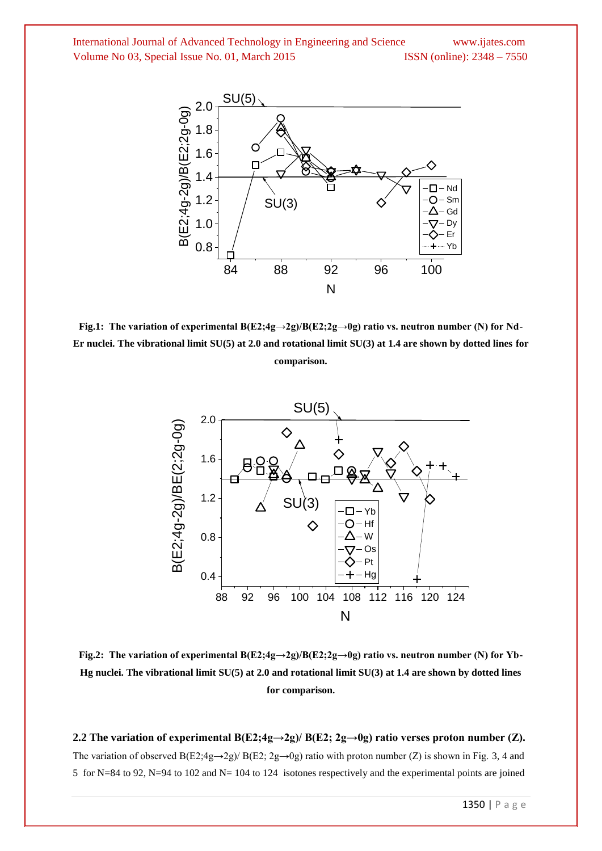

**Fig.1: The variation of experimental B(E2;4g→2g)/B(E2;2g→0g) ratio vs. neutron number (N) for Nd-Er nuclei. The vibrational limit SU(5) at 2.0 and rotational limit SU(3) at 1.4 are shown by dotted lines for comparison.**



**Fig.2: The variation of experimental B(E2;4g→2g)/B(E2;2g→0g) ratio vs. neutron number (N) for Yb-Hg nuclei. The vibrational limit SU(5) at 2.0 and rotational limit SU(3) at 1.4 are shown by dotted lines for comparison.**

**2.2 The variation of experimental B(E2;4g** $\rightarrow$ **2g)/ B(E2; 2g** $\rightarrow$ **0g) ratio verses proton number (Z).** The variation of observed B(E2;4g→2g)/ B(E2; 2g→0g) ratio with proton number (Z) is shown in Fig. 3, 4 and 5 for N=84 to 92, N=94 to 102 and N= 104 to 124 isotones respectively and the experimental points are joined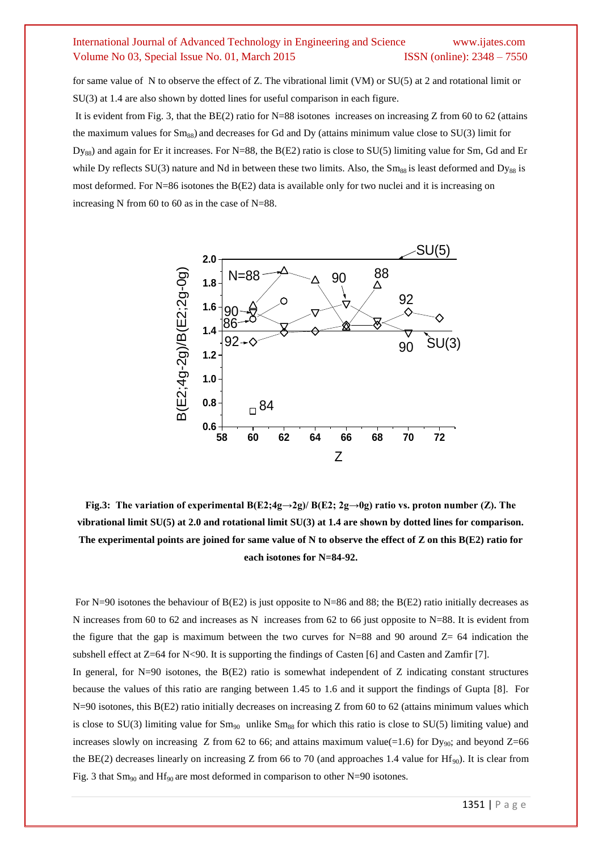for same value of N to observe the effect of Z. The vibrational limit (VM) or SU(5) at 2 and rotational limit or SU(3) at 1.4 are also shown by dotted lines for useful comparison in each figure.

It is evident from Fig. 3, that the  $BE(2)$  ratio for N=88 isotones increases on increasing Z from 60 to 62 (attains the maximum values for  $Sm_{88}$ ) and decreases for Gd and Dy (attains minimum value close to  $SU(3)$  limit for  $D_{\text{Yss}}$ ) and again for Er it increases. For N=88, the B(E2) ratio is close to SU(5) limiting value for Sm, Gd and Er while Dy reflects  $SU(3)$  nature and Nd in between these two limits. Also, the Sm<sub>88</sub> is least deformed and Dy<sub>88</sub> is most deformed. For N=86 isotones the B(E2) data is available only for two nuclei and it is increasing on increasing N from 60 to 60 as in the case of N=88.



**Fig.3:** The variation of experimental  $B(E2; 4g \rightarrow 2g)/B(E2; 2g \rightarrow 0g)$  ratio vs. proton number (Z). The **vibrational limit SU(5) at 2.0 and rotational limit SU(3) at 1.4 are shown by dotted lines for comparison. The experimental points are joined for same value of N to observe the effect of Z on this B(E2) ratio for each isotones for N=84-92.**

For N=90 isotones the behaviour of B(E2) is just opposite to N=86 and 88; the B(E2) ratio initially decreases as N increases from 60 to 62 and increases as N increases from 62 to 66 just opposite to  $N=88$ . It is evident from the figure that the gap is maximum between the two curves for  $N=88$  and 90 around  $Z=64$  indication the subshell effect at  $Z=64$  for N<90. It is supporting the findings of Casten [6] and Casten and Zamfir [7].

In general, for  $N=90$  isotones, the  $B(E2)$  ratio is somewhat independent of Z indicating constant structures because the values of this ratio are ranging between 1.45 to 1.6 and it support the findings of Gupta [8]. For N=90 isotones, this B(E2) ratio initially decreases on increasing Z from 60 to 62 (attains minimum values which is close to SU(3) limiting value for  $Sm_{90}$  unlike  $Sm_{88}$  for which this ratio is close to SU(5) limiting value) and increases slowly on increasing Z from 62 to 66; and attains maximum value(=1.6) for Dy<sub>90</sub>; and beyond Z=66 the BE(2) decreases linearly on increasing Z from 66 to 70 (and approaches 1.4 value for Hf<sub>90</sub>). It is clear from Fig. 3 that  $Sm_{90}$  and  $Hf_{90}$  are most deformed in comparison to other N=90 isotones.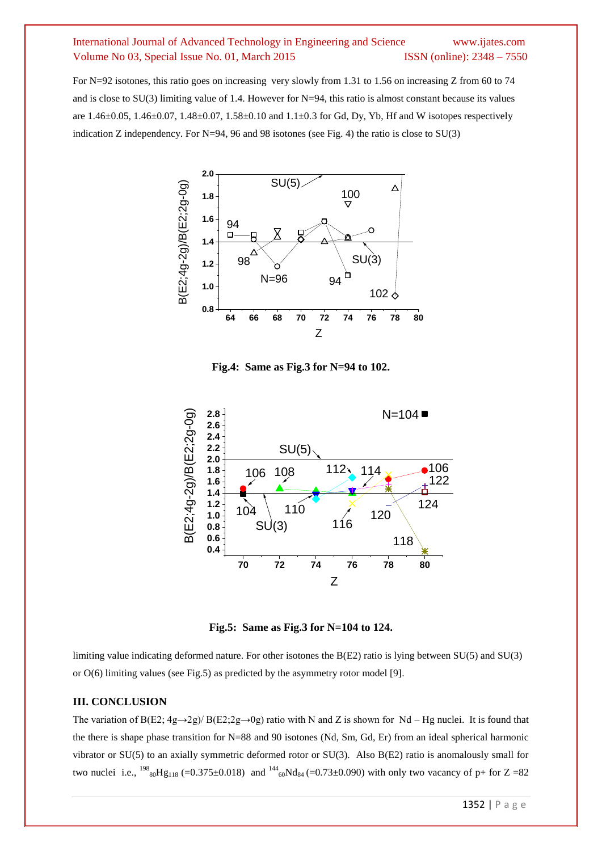For N=92 isotones, this ratio goes on increasing very slowly from 1.31 to 1.56 on increasing Z from 60 to 74 and is close to  $SU(3)$  limiting value of 1.4. However for N=94, this ratio is almost constant because its values are 1.46±0.05, 1.46±0.07, 1.48±0.07, 1.58±0.10 and 1.1±0.3 for Gd, Dy, Yb, Hf and W isotopes respectively indication Z independency. For N=94, 96 and 98 isotones (see Fig. 4) the ratio is close to SU(3)



**Fig.4: Same as Fig.3 for N=94 to 102.**



**Fig.5: Same as Fig.3 for N=104 to 124.**

limiting value indicating deformed nature. For other isotones the B(E2) ratio is lying between SU(5) and SU(3) or O(6) limiting values (see Fig.5) as predicted by the asymmetry rotor model [9].

#### **III. CONCLUSION**

The variation of B(E2;  $4g \rightarrow 2g$ )/ B(E2;  $2g \rightarrow 0g$ ) ratio with N and Z is shown for Nd – Hg nuclei. It is found that the there is shape phase transition for N=88 and 90 isotones (Nd, Sm, Gd, Er) from an ideal spherical harmonic vibrator or SU(5) to an axially symmetric deformed rotor or SU(3). Also B(E2) ratio is anomalously small for two nuclei i.e.,  $^{198}$ <sub>80</sub>Hg<sub>118</sub> (=0.375±0.018) and  $^{144}$ <sub>60</sub>Nd<sub>84</sub> (=0.73±0.090) with only two vacancy of p+ for Z =82